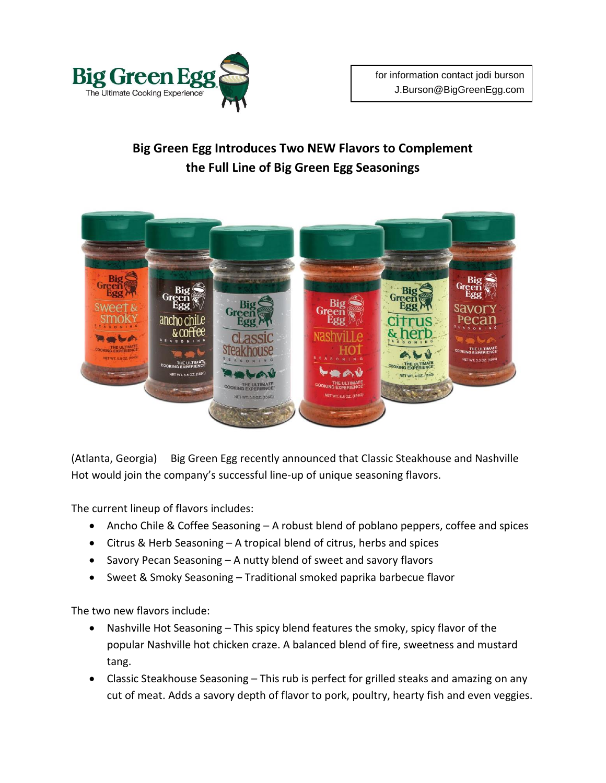

## **Big Green Egg Introduces Two NEW Flavors to Complement the Full Line of Big Green Egg Seasonings**



(Atlanta, Georgia) Big Green Egg recently announced that Classic Steakhouse and Nashville Hot would join the company's successful line-up of unique seasoning flavors.

The current lineup of flavors includes:

- Ancho Chile & Coffee Seasoning A robust blend of poblano peppers, coffee and spices
- Citrus & Herb Seasoning A tropical blend of citrus, herbs and spices
- Savory Pecan Seasoning A nutty blend of sweet and savory flavors
- Sweet & Smoky Seasoning Traditional smoked paprika barbecue flavor

The two new flavors include:

- Nashville Hot Seasoning This spicy blend features the smoky, spicy flavor of the popular Nashville hot chicken craze. A balanced blend of fire, sweetness and mustard tang.
- Classic Steakhouse Seasoning This rub is perfect for grilled steaks and amazing on any cut of meat. Adds a savory depth of flavor to pork, poultry, hearty fish and even veggies.